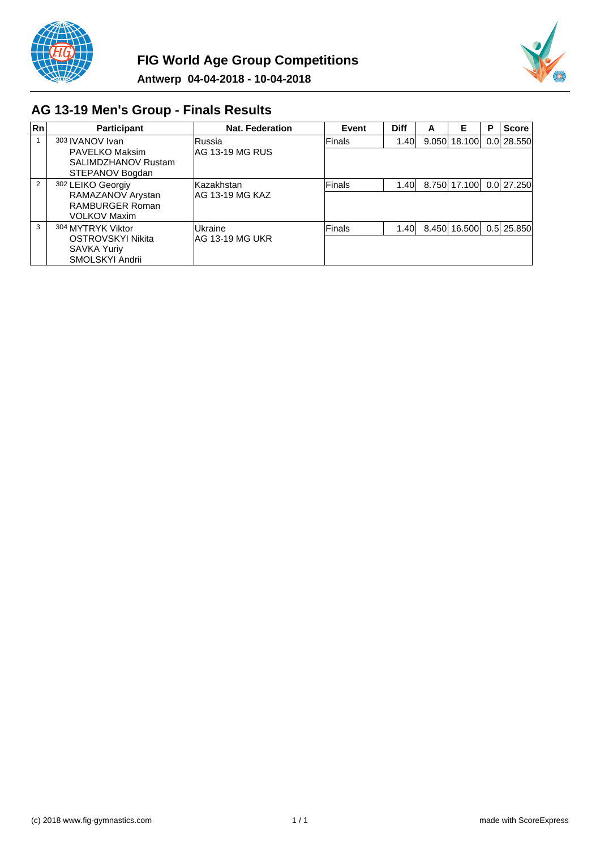



# **AG 13-19 Men's Group - Finals Results**

| Rn             | <b>Participant</b>                                                               | Nat. Federation                  | Event         | <b>Diff</b> | A | Е            | Р | <b>Score</b>   |
|----------------|----------------------------------------------------------------------------------|----------------------------------|---------------|-------------|---|--------------|---|----------------|
|                | 303 IVANOV Ivan<br>PAVELKO Maksim<br>SALIMDZHANOV Rustam<br>STEPANOV Bogdan      | lRussia.<br>IAG 13-19 MG RUS     | Finals        | 1.40        |   | 9.050 18.100 |   | 0.0128.550     |
| $\overline{2}$ | 302 LEIKO Georgiy<br>RAMAZANOV Arystan<br>RAMBURGER Roman<br><b>VOLKOV Maxim</b> | lKazakhstan.<br>IAG 13-19 MG KAZ | lFinals       | 1.40        |   | 8.750 17.100 |   | $0.0$   27.250 |
| 3              | 304 MYTRYK Viktor<br>OSTROVSKYI Nikita<br>SAVKA Yuriy<br>SMOLSKYI Andrii         | Ukraine<br>IAG 13-19 MG UKR      | <b>Finals</b> | 1.40        |   | 8.450 16.500 |   | $0.5$   25.850 |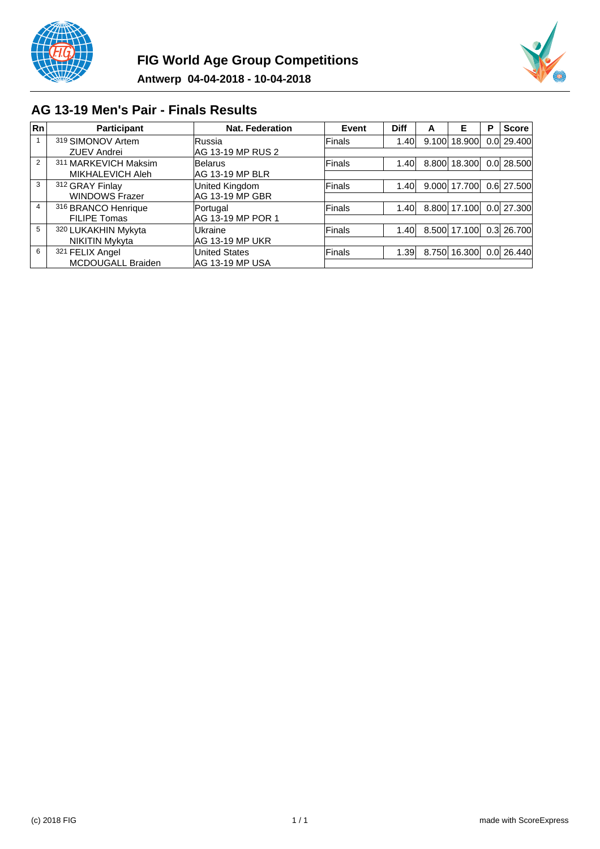



## **AG 13-19 Men's Pair - Finals Results**

| Rn             | <b>Participant</b>    | <b>Nat. Federation</b> | Event         | <b>Diff</b>       | A | Е            | Р | <b>Score</b>   |
|----------------|-----------------------|------------------------|---------------|-------------------|---|--------------|---|----------------|
|                | 319 SIMONOV Artem     | <b>IRussia</b>         | Finals        | 1.40 <sub>l</sub> |   | 9.100 18.900 |   | 0.0 29.400     |
|                | <b>ZUEV Andrei</b>    | AG 13-19 MP RUS 2      |               |                   |   |              |   |                |
| $\overline{2}$ | 311 MARKEVICH Maksim  | <b>Belarus</b>         | <b>Finals</b> | 1.40 <sub>l</sub> |   | 8.800 18.300 |   | $0.0$ 28.500   |
|                | MIKHALEVICH Aleh      | IAG 13-19 MP BLR       |               |                   |   |              |   |                |
| 3              | 312 GRAY Finlay       | United Kingdom         | <b>Finals</b> | 1.40              |   | 9.000 17.700 |   | 0.6 27.500     |
|                | <b>WINDOWS Frazer</b> | AG 13-19 MP GBR        |               |                   |   |              |   |                |
| 4              | 316 BRANCO Henrique   | Portugal               | <b>Finals</b> | 1.40              |   | 8.800 17.100 |   | $0.0$   27.300 |
|                | <b>FILIPE Tomas</b>   | AG 13-19 MP POR 1      |               |                   |   |              |   |                |
| 5              | 320 LUKAKHIN Mykyta   | Ukraine                | <b>Finals</b> | 1.40 <sub>l</sub> |   | 8.500 17.100 |   | $0.3$ 26.700   |
|                | <b>NIKITIN Mykyta</b> | IAG 13-19 MP UKR       |               |                   |   |              |   |                |
| 6              | 321 FELIX Angel       | <b>United States</b>   | <b>Finals</b> | 1.39              |   | 8.750 16.300 |   | 0.0 26.440     |
|                | MCDOUGALL Braiden     | AG 13-19 MP USA        |               |                   |   |              |   |                |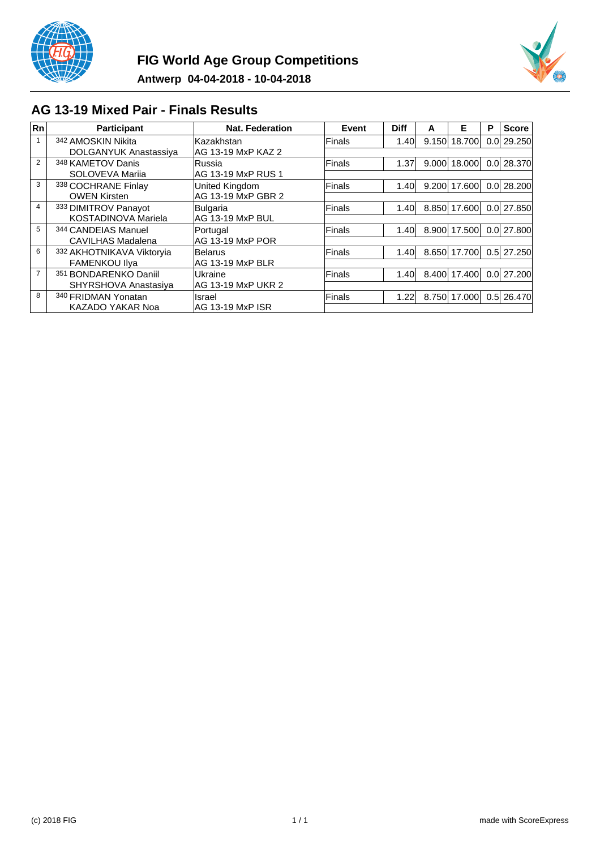



## **AG 13-19 Mixed Pair - Finals Results**

| Rn             | <b>Participant</b>           | <b>Nat. Federation</b> | Event         | <b>Diff</b> | A     | Е      | P | <b>Score</b>   |
|----------------|------------------------------|------------------------|---------------|-------------|-------|--------|---|----------------|
|                | 342 AMOSKIN Nikita           | lKazakhstan            | Finals        | 1.40        | 9.150 | 18.700 |   | 0.0129.250     |
|                | <b>DOLGANYUK Anastassiya</b> | AG 13-19 MxP KAZ 2     |               |             |       |        |   |                |
| $\overline{2}$ | 348 KAMETOV Danis            | <b>Russia</b>          | Finals        | 1.37        | 9.000 | 18.000 |   | 0.0 28.370     |
|                | SOLOVEVA Marija              | IAG 13-19 MxP RUS 1    |               |             |       |        |   |                |
| 3              | 338 COCHRANE Finlay          | <b>United Kingdom</b>  | Finals        | 1.40        | 9.200 | 17.600 |   | 0.0128.200     |
|                | <b>OWEN Kirsten</b>          | AG 13-19 MxP GBR 2     |               |             |       |        |   |                |
| 4              | 333 DIMITROV Panayot         | Bulgaria               | <b>Finals</b> | 1.40        | 8.850 | 17.600 |   | 0.0127.850     |
|                | KOSTADINOVA Mariela          | AG 13-19 MxP BUL       |               |             |       |        |   |                |
| 5              | 344 CANDEIAS Manuel          | Portugal               | Finals        | 1.40        | 8.900 | 17.500 |   | 0.0 27.800     |
|                | CAVILHAS Madalena            | IAG 13-19 MxP POR      |               |             |       |        |   |                |
| 6              | 332 AKHOTNIKAVA Viktoryia    | <b>Belarus</b>         | Finals        | 1.40        | 8.650 | 17.700 |   | $0.5$   27.250 |
|                | <b>FAMENKOU IIva</b>         | IAG 13-19 MxP BLR      |               |             |       |        |   |                |
| $\overline{7}$ | 351 BONDARENKO Daniil        | lUkraine               | Finals        | 1.40        | 8.400 | 17.400 |   | $0.0$   27.200 |
|                | SHYRSHOVA Anastasiya         | AG 13-19 MxP UKR 2     |               |             |       |        |   |                |
| 8              | 340 FRIDMAN Yonatan          | Ilsrael                | Finals        | 1.22        | 8.750 | 17.000 |   | 0.5 26.470     |
|                | KAZADO YAKAR Noa             | IAG 13-19 MxP ISR      |               |             |       |        |   |                |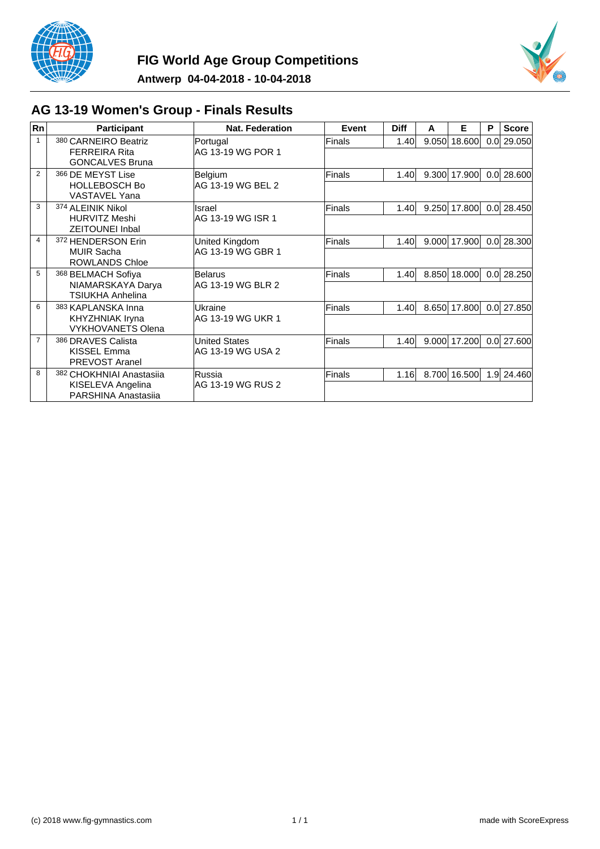



# **AG 13-19 Women's Group - Finals Results**

| <b>Rn</b>      | <b>Participant</b>                                 | Nat. Federation      | Event  | <b>Diff</b>       | A     | Е              | P                | <b>Score</b>   |
|----------------|----------------------------------------------------|----------------------|--------|-------------------|-------|----------------|------------------|----------------|
| $\mathbf{1}$   | 380 CARNEIRO Beatriz                               | Portugal             | Finals | 1.40              | 9.050 | 18.600         | 0.0 <sub>l</sub> | 29.050         |
|                | <b>FERREIRA Rita</b><br><b>GONCALVES Bruna</b>     | AG 13-19 WG POR 1    |        |                   |       |                |                  |                |
| $\overline{2}$ | 366 DE MEYST Lise                                  | <b>Belgium</b>       | Finals | 1.40              | 9.300 | 17.900         | 0.0              | 28.600         |
|                | <b>HOLLEBOSCH Bo</b><br><b>VASTAVEL Yana</b>       | AG 13-19 WG BEL 2    |        |                   |       |                |                  |                |
| 3              | 374 ALEINIK Nikol                                  | Israel               | Finals | 1.40              |       | $9.250$ 17.800 |                  | $0.0$   28.450 |
|                | <b>HURVITZ Meshi</b><br><b>ZEITOUNEI Inbal</b>     | IAG 13-19 WG ISR 1   |        |                   |       |                |                  |                |
| 4              | 372 HENDERSON Erin                                 | United Kingdom       | Finals | 1.40 <sub>l</sub> | 9.000 | 17.900         |                  | $0.0$   28.300 |
|                | <b>MUIR Sacha</b><br>ROWLANDS Chloe                | AG 13-19 WG GBR 1    |        |                   |       |                |                  |                |
| 5              | 368 BELMACH Sofiya                                 | Belarus              | Finals | 1.40 <sub>l</sub> |       | 8.850 18.000   |                  | $0.0$ 28.250   |
|                | NIAMARSKAYA Darya<br><b>TSIUKHA Anhelina</b>       | AG 13-19 WG BLR 2    |        |                   |       |                |                  |                |
| 6              | 383 KAPLANSKA Inna                                 | Ukraine              | Finals | 1.40              |       | 8.650 17.800   |                  | $0.0$   27.850 |
|                | <b>KHYZHNIAK Iryna</b><br><b>VYKHOVANETS Olena</b> | AG 13-19 WG UKR 1    |        |                   |       |                |                  |                |
| 7              | 386 DRAVES Calista                                 | <b>United States</b> | Finals | 1.40              | 9.000 | 17.200         |                  | $0.0$   27.600 |
|                | KISSEL Emma<br>PREVOST Aranel                      | IAG 13-19 WG USA 2   |        |                   |       |                |                  |                |
| 8              | 382 CHOKHNIAI Anastasiia                           | lRussia              | Finals | 1.16              |       | 8.700 16.500   |                  | 1.9 24.460     |
|                | KISELEVA Angelina<br>PARSHINA Anastasija           | IAG 13-19 WG RUS 2   |        |                   |       |                |                  |                |